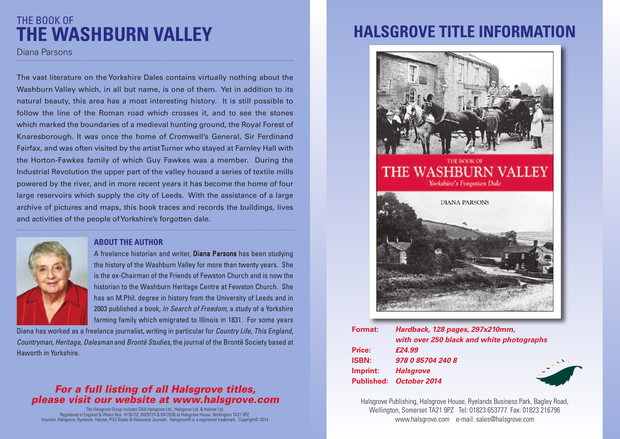### THE BOOK OF **THE WASHBURN VALLEY**

Diana Parsons

The vast literature on the Yorkshire Dales contains virtually nothing about the Washburn Valley which, in all but name, is one of them. Yet in addition to its natural beauty, this area has a most interesting history. It is still possible to follow the line of the Roman road which crosses it, and to see the stones which marked the boundaries of a medieval hunting ground, the Royal Forest of Knaresborough. It was once the home of Cromwell's General, Sir Ferdinand Fairfax, and was often visited by the artistTurner who stayed at Farnley Hall with the Horton-Fawkes family of which Guy Fawkes was a member. During the Industrial Revolution the upper part of the valley housed a series of textile mills powered by the river, and in more recent years it has become the home of four large reservoirs which supply the city of Leeds. With the assistance of a large archive of pictures and maps, this book traces and records the buildings, lives and activities of the people ofYorkshire's forgotten dale.



#### **ABOUT THE AUTHOR**

A freelance historian and writer, Diana Parsons has been studying the history of the Washburn Valley for more than twenty years. She is the ex-Chairman of the Friends of Fewston Church and is now the historian to the Washburn Heritage Centre at Fewston Church. She has an M.Phil. degree in history from the University of Leeds and in 2003 published a book, *In Search of Freedom*, a study of a Yorkshire farming family which emigrated to Illinois in 1831. For some years

Diana has worked as a freelance journalist, writing in particular for *Country Life*, *This England, Countryman, Heritage, Dalesman* and *Brontë Studies*, the journal of the Brontë Society based at Haworth in Yorkshire.

### *For a full listing of all Halsgrove titles, please visit our website at www.halsgrove.com*

The Halsgrove Group includes DAA Halsgrove Ltd., Halsgrove Ltd. & Halstar Ltd.<br>Registered in England & Wales Nos. 4 136732, 6029724 & 6472636 at Halsgrove House, Wellington TA21 9PZ.<br>Imprints: Halsgrove, Ryelands, Halstar

## **HALSGROVE TITLE INFORMATION**



| <b>Format:</b> | Hardback, 128 pages, 297x210mm,           |
|----------------|-------------------------------------------|
|                | with over 250 black and white photographs |
| <b>Price:</b>  | £24.99                                    |
| <b>ISBN:</b>   | 978 0 85704 240 8                         |
| Imprint:       | <b>Halsgrove</b>                          |
|                | Published: October 2014                   |

Halsgrove Publishing, Halsgrove House, Ryelands Business Park, Bagley Road, Wellington, Somerset TA21 9PZ Tel: 01823 653777 Fax: 01823 216796 www.halsgrove.com e-mail: sales@halsgrove.com